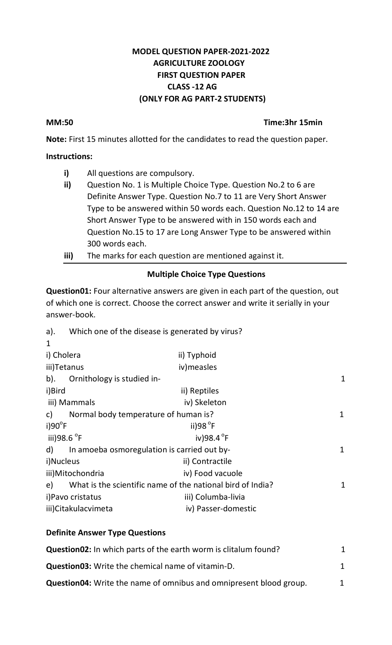## **MODEL QUESTION PAPER-2021-2022 AGRICULTURE ZOOLOGY FIRST QUESTION PAPER CLASS -12 AG (ONLY FOR AG PART-2 STUDENTS)**

### **MM:50 Time:3hr 15min**

**Note:** First 15 minutes allotted for the candidates to read the question paper.

### **Instructions:**

- **i)** All questions are compulsory.
- **ii)** Question No. 1 is Multiple Choice Type. Question No.2 to 6 are Definite Answer Type. Question No.7 to 11 are Very Short Answer Type to be answered within 50 words each. Question No.12 to 14 are Short Answer Type to be answered with in 150 words each and Question No.15 to 17 are Long Answer Type to be answered within 300 words each.
- **iii)** The marks for each question are mentioned against it.

# **Multiple Choice Type Questions**

**Question01:** Four alternative answers are given in each part of the question, out of which one is correct. Choose the correct answer and write it serially in your answer-book.

| a). | Which one of the disease is generated by virus? |  |  |  |
|-----|-------------------------------------------------|--|--|--|
|     |                                                 |  |  |  |

| $\mathbf{1}$            |                                                            |                     |   |  |  |  |
|-------------------------|------------------------------------------------------------|---------------------|---|--|--|--|
| i) Cholera              |                                                            | ii) Typhoid         |   |  |  |  |
| iii)Tetanus             |                                                            | iv) measles         |   |  |  |  |
| $b$ ).                  | Ornithology is studied in-                                 |                     | 1 |  |  |  |
| i)Bird                  |                                                            | ii) Reptiles        |   |  |  |  |
|                         | iii) Mammals                                               | iv) Skeleton        |   |  |  |  |
| C)                      | Normal body temperature of human is?                       |                     | 1 |  |  |  |
| $i)90^{\circ}F$         |                                                            | ii)98 $\degree$ F   |   |  |  |  |
| iii)98.6 <sup>o</sup> F |                                                            | iv)98.4 $\degree$ F |   |  |  |  |
| d)                      | In amoeba osmoregulation is carried out by-<br>1           |                     |   |  |  |  |
| i)Nucleus               |                                                            | ii) Contractile     |   |  |  |  |
| iii) Mitochondria       |                                                            | iv) Food vacuole    |   |  |  |  |
| e)                      | What is the scientific name of the national bird of India? |                     | 1 |  |  |  |
|                         | i) Pavo cristatus                                          | iii) Columba-livia  |   |  |  |  |
| iii) Citakulacvimeta    |                                                            | iv) Passer-domestic |   |  |  |  |
|                         |                                                            |                     |   |  |  |  |

# **Definite Answer Type Questions Question02:** In which parts of the earth worm is clitalum found? 1 **Question03:** Write the chemical name of vitamin-D. 1 **Question04:** Write the name of omnibus and omnipresent blood group. 1